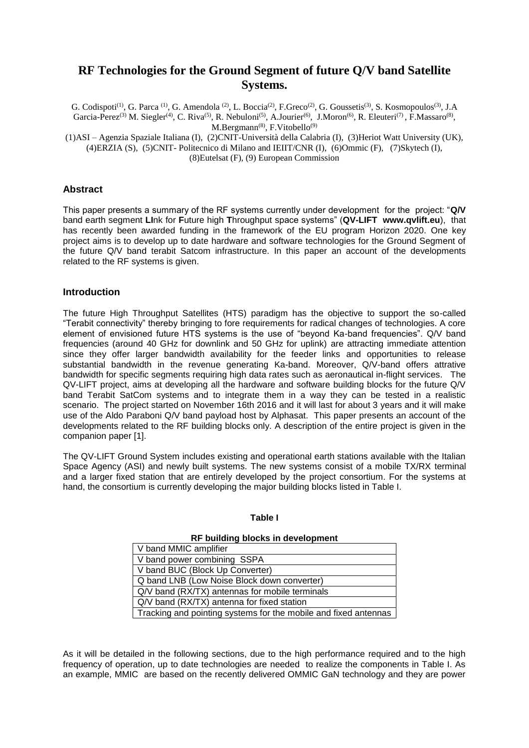# **RF Technologies for the Ground Segment of future Q/V band Satellite Systems.**

G. Codispoti<sup>(1)</sup>, G. Parca<sup>(1)</sup>, G. Amendola<sup>(2)</sup>, L. Boccia<sup>(2)</sup>, F. Greco<sup>(2)</sup>, G. Goussetis<sup>(3)</sup>, S. Kosmopoulos<sup>(3)</sup>, J. A Garcia-Perez<sup>(3)</sup> M. Siegler<sup>(4)</sup>, C. Riva<sup>(5)</sup>, R. Nebuloni<sup>(5)</sup>, A.Jourier<sup>(6)</sup>, J.Moron<sup>(6)</sup>, R. Eleuteri<sup>(7)</sup>, F.Massaro<sup>(8)</sup>,  $M.Bergmann<sup>(8)</sup>, F.Vitobello<sup>(9)</sup>$ 

(1)ASI – Agenzia Spaziale Italiana (I), (2)CNIT-Università della Calabria (I), (3)Heriot Watt University (UK), (4)ERZIA (S), (5)CNIT- Politecnico di Milano and IEIIT/CNR (I), (6)Ommic (F), (7)Skytech (I), (8)Eutelsat (F), (9) European Commission

# **Abstract**

This paper presents a summary of the RF systems currently under development for the project: "**Q/V** band earth segment **LI**nk for **F**uture high **T**hroughput space systems" (**QV-LIFT www.qvlift.eu**), that has recently been awarded funding in the framework of the EU program Horizon 2020. One key project aims is to develop up to date hardware and software technologies for the Ground Segment of the future Q/V band terabit Satcom infrastructure. In this paper an account of the developments related to the RF systems is given.

# **Introduction**

The future High Throughput Satellites (HTS) paradigm has the objective to support the so-called "Terabit connectivity" thereby bringing to fore requirements for radical changes of technologies. A core element of envisioned future HTS systems is the use of "beyond Ka-band frequencies". Q/V band frequencies (around 40 GHz for downlink and 50 GHz for uplink) are attracting immediate attention since they offer larger bandwidth availability for the feeder links and opportunities to release substantial bandwidth in the revenue generating Ka-band. Moreover, Q/V-band offers attrative bandwidth for specific segments requiring high data rates such as aeronautical in-flight services. The QV-LIFT project, aims at developing all the hardware and software building blocks for the future Q/V band Terabit SatCom systems and to integrate them in a way they can be tested in a realistic scenario. The project started on November 16th 2016 and it will last for about 3 years and it will make use of the Aldo Paraboni Q/V band payload host by Alphasat. This paper presents an account of the developments related to the RF building blocks only. A description of the entire project is given in the companion paper [1].

The QV-LIFT Ground System includes existing and operational earth stations available with the Italian Space Agency (ASI) and newly built systems. The new systems consist of a mobile TX/RX terminal and a larger fixed station that are entirely developed by the project consortium. For the systems at hand, the consortium is currently developing the major building blocks listed in Table I.

## **Table I**

## **RF building blocks in development**

| V band MMIC amplifier                                           |
|-----------------------------------------------------------------|
| V band power combining SSPA                                     |
| V band BUC (Block Up Converter)                                 |
| Q band LNB (Low Noise Block down converter)                     |
| Q/V band (RX/TX) antennas for mobile terminals                  |
| Q/V band (RX/TX) antenna for fixed station                      |
| Tracking and pointing systems for the mobile and fixed antennas |

As it will be detailed in the following sections, due to the high performance required and to the high frequency of operation, up to date technologies are needed to realize the components in Table I. As an example, MMIC are based on the recently delivered OMMIC GaN technology and they are power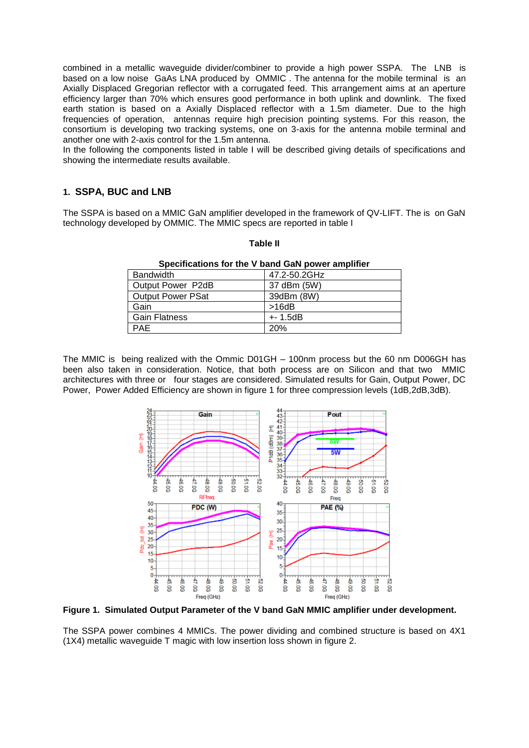combined in a metallic waveguide divider/combiner to provide a high power SSPA. The LNB is based on a low noise GaAs LNA produced by OMMIC . The antenna for the mobile terminal is an Axially Displaced Gregorian reflector with a corrugated feed. This arrangement aims at an aperture efficiency larger than 70% which ensures good performance in both uplink and downlink. The fixed earth station is based on a Axially Displaced reflector with a 1.5m diameter. Due to the high frequencies of operation, antennas require high precision pointing systems. For this reason, the consortium is developing two tracking systems, one on 3-axis for the antenna mobile terminal and another one with 2-axis control for the 1.5m antenna.

In the following the components listed in table I will be described giving details of specifications and showing the intermediate results available.

# **1. SSPA, BUC and LNB**

The SSPA is based on a MMIC GaN amplifier developed in the framework of QV-LIFT. The is on GaN technology developed by OMMIC. The MMIC specs are reported in table I

| Specifications for the V band GaN power amplifier |              |  |
|---------------------------------------------------|--------------|--|
| <b>Bandwidth</b>                                  | 47.2-50.2GHz |  |
| Output Power P2dB                                 | 37 dBm (5W)  |  |
| <b>Output Power PSat</b>                          | 39dBm (8W)   |  |
| Gain                                              | >16dB        |  |
| <b>Gain Flatness</b>                              | $+ - 1.5dB$  |  |
| <b>PAE</b>                                        | <b>20%</b>   |  |

**Table II**

The MMIC is being realized with the Ommic D01GH – 100nm process but the 60 nm D006GH has been also taken in consideration. Notice, that both process are on Silicon and that two MMIC architectures with three or four stages are considered. Simulated results for Gain, Output Power, DC Power, Power Added Efficiency are shown in figure 1 for three compression levels (1dB,2dB,3dB).



**Figure 1. Simulated Output Parameter of the V band GaN MMIC amplifier under development.** 

The SSPA power combines 4 MMICs. The power dividing and combined structure is based on 4X1 (1X4) metallic waveguide T magic with low insertion loss shown in figure 2.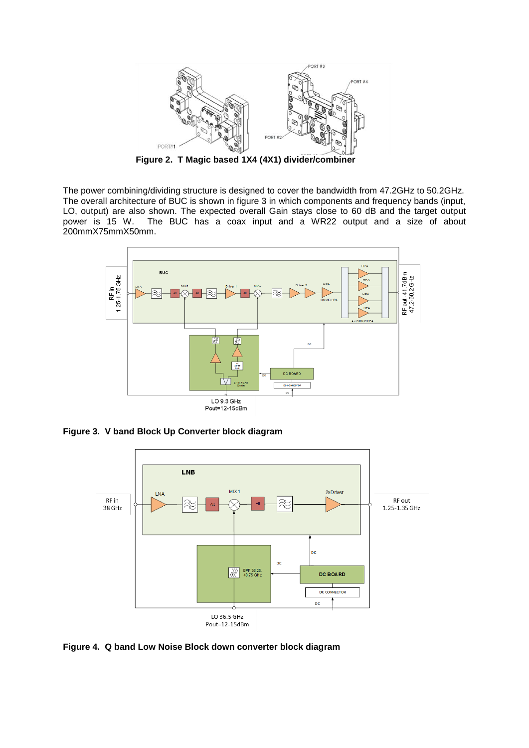

**Figure 2. T Magic based 1X4 (4X1) divider/combiner**

The power combining/dividing structure is designed to cover the bandwidth from 47.2GHz to 50.2GHz. The overall architecture of BUC is shown in figure 3 in which components and frequency bands (input, LO, output) are also shown. The expected overall Gain stays close to 60 dB and the target output<br>power is 15 W. The BUC has a coax input and a WR22 output and a size of about The BUC has a coax input and a WR22 output and a size of about 200mmX75mmX50mm.



**Figure 3. V band Block Up Converter block diagram**



**Figure 4. Q band Low Noise Block down converter block diagram**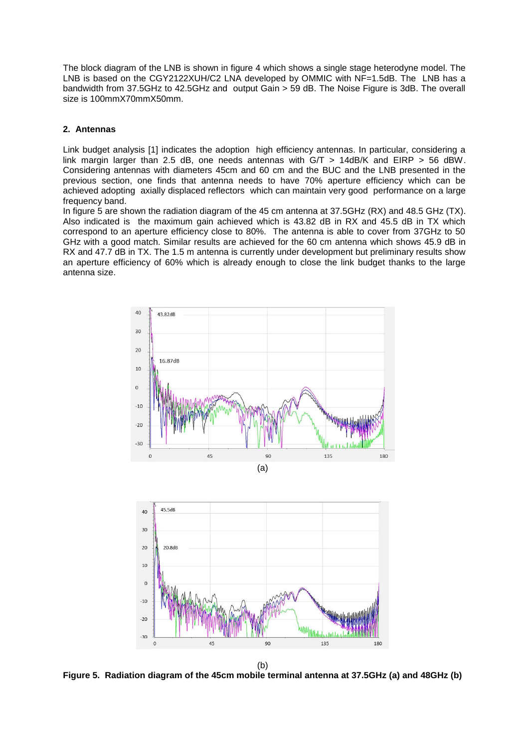The block diagram of the LNB is shown in figure 4 which shows a single stage heterodyne model. The LNB is based on the CGY2122XUH/C2 LNA developed by OMMIC with NF=1.5dB. The LNB has a bandwidth from 37.5GHz to 42.5GHz and output Gain > 59 dB. The Noise Figure is 3dB. The overall size is 100mmX70mmX50mm.

## **2. Antennas**

Link budget analysis [1] indicates the adoption high efficiency antennas. In particular, considering a link margin larger than 2.5 dB, one needs antennas with G/T > 14dB/K and EIRP > 56 dBW. Considering antennas with diameters 45cm and 60 cm and the BUC and the LNB presented in the previous section, one finds that antenna needs to have 70% aperture efficiency which can be achieved adopting axially displaced reflectors which can maintain very good performance on a large frequency band.

In figure 5 are shown the radiation diagram of the 45 cm antenna at 37.5GHz (RX) and 48.5 GHz (TX). Also indicated is the maximum gain achieved which is 43.82 dB in RX and 45.5 dB in TX which correspond to an aperture efficiency close to 80%. The antenna is able to cover from 37GHz to 50 GHz with a good match. Similar results are achieved for the 60 cm antenna which shows 45.9 dB in RX and 47.7 dB in TX. The 1.5 m antenna is currently under development but preliminary results show an aperture efficiency of 60% which is already enough to close the link budget thanks to the large antenna size.



**Figure 5. Radiation diagram of the 45cm mobile terminal antenna at 37.5GHz (a) and 48GHz (b)**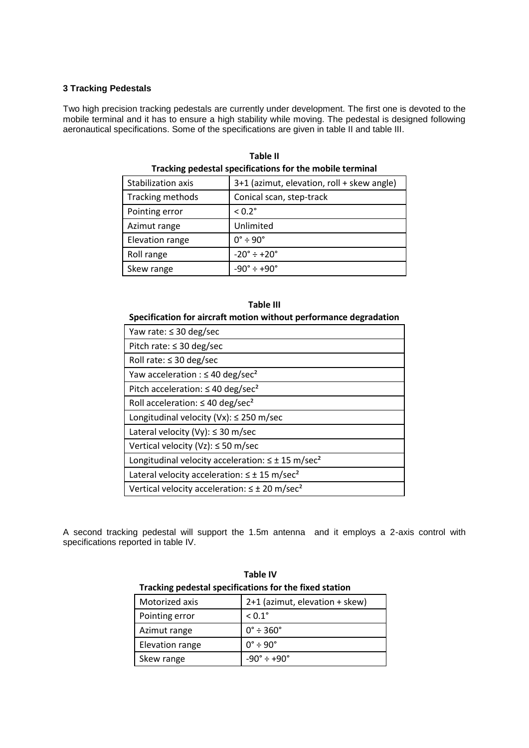# **3 Tracking Pedestals**

Two high precision tracking pedestals are currently under development. The first one is devoted to the mobile terminal and it has to ensure a high stability while moving. The pedestal is designed following aeronautical specifications. Some of the specifications are given in table II and table III.

| Stabilization axis | 3+1 (azimut, elevation, roll + skew angle) |
|--------------------|--------------------------------------------|
| Tracking methods   | Conical scan, step-track                   |
| Pointing error     | $< 0.2$ °                                  |
| Azimut range       | Unlimited                                  |
| Elevation range    | $0^{\circ} \div 90^{\circ}$                |
| Roll range         | $-20^{\circ} \div 20^{\circ}$              |
| Skew range         | $-90^\circ \div +90^\circ$                 |
|                    |                                            |

**Table II Tracking pedestal specifications for the mobile terminal**

# **Table III Specification for aircraft motion without performance degradation**

| Yaw rate: $\leq$ 30 deg/sec                                          |
|----------------------------------------------------------------------|
| Pitch rate: $\leq$ 30 deg/sec                                        |
| Roll rate: $\leq$ 30 deg/sec                                         |
| Yaw acceleration : $\leq 40$ deg/sec <sup>2</sup>                    |
| Pitch acceleration: $\leq 40$ deg/sec <sup>2</sup>                   |
| Roll acceleration: $\leq$ 40 deg/sec <sup>2</sup>                    |
| Longitudinal velocity (Vx): $\leq$ 250 m/sec                         |
| Lateral velocity (Vy): $\leq$ 30 m/sec                               |
| Vertical velocity (Vz): $\leq$ 50 m/sec                              |
| Longitudinal velocity acceleration: $\leq \pm 15$ m/sec <sup>2</sup> |
| Lateral velocity acceleration: $\leq \pm 15$ m/sec <sup>2</sup>      |
| Vertical velocity acceleration: $\leq \pm 20$ m/sec <sup>2</sup>     |

A second tracking pedestal will support the 1.5m antenna and it employs a 2-axis control with specifications reported in table IV.

| Tracking pedestal specifications for the fixed station |                                |  |
|--------------------------------------------------------|--------------------------------|--|
| Motorized axis                                         | 2+1 (azimut, elevation + skew) |  |
| Pointing error                                         | $< 0.1$ °                      |  |
| Azimut range                                           | $0^{\circ}$ ÷ 360 $^{\circ}$   |  |
| Elevation range                                        | $0^{\circ} \div 90^{\circ}$    |  |
| Skew range                                             | $-90^{\circ} \div +90^{\circ}$ |  |

**Table IV Tracking pedestal specifications for the fixed station**